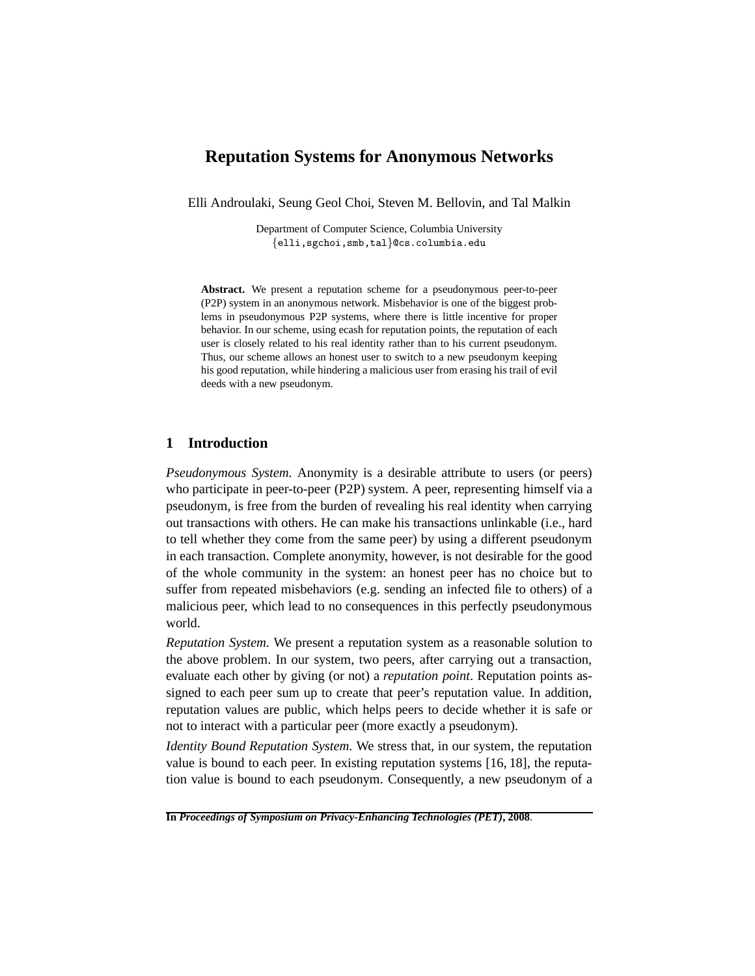# **Reputation Systems for Anonymous Networks**

Elli Androulaki, Seung Geol Choi, Steven M. Bellovin, and Tal Malkin

Department of Computer Science, Columbia University {elli,sgchoi,smb,tal}@cs.columbia.edu

**Abstract.** We present a reputation scheme for a pseudonymous peer-to-peer (P2P) system in an anonymous network. Misbehavior is one of the biggest problems in pseudonymous P2P systems, where there is little incentive for proper behavior. In our scheme, using ecash for reputation points, the reputation of each user is closely related to his real identity rather than to his current pseudonym. Thus, our scheme allows an honest user to switch to a new pseudonym keeping his good reputation, while hindering a malicious user from erasing his trail of evil deeds with a new pseudonym.

### **1 Introduction**

*Pseudonymous System.* Anonymity is a desirable attribute to users (or peers) who participate in peer-to-peer (P2P) system. A peer, representing himself via a pseudonym, is free from the burden of revealing his real identity when carrying out transactions with others. He can make his transactions unlinkable (i.e., hard to tell whether they come from the same peer) by using a different pseudonym in each transaction. Complete anonymity, however, is not desirable for the good of the whole community in the system: an honest peer has no choice but to suffer from repeated misbehaviors (e.g. sending an infected file to others) of a malicious peer, which lead to no consequences in this perfectly pseudonymous world.

*Reputation System.* We present a reputation system as a reasonable solution to the above problem. In our system, two peers, after carrying out a transaction, evaluate each other by giving (or not) a *reputation point*. Reputation points assigned to each peer sum up to create that peer's reputation value. In addition, reputation values are public, which helps peers to decide whether it is safe or not to interact with a particular peer (more exactly a pseudonym).

*Identity Bound Reputation System.* We stress that, in our system, the reputation value is bound to each peer. In existing reputation systems [16, 18], the reputation value is bound to each pseudonym. Consequently, a new pseudonym of a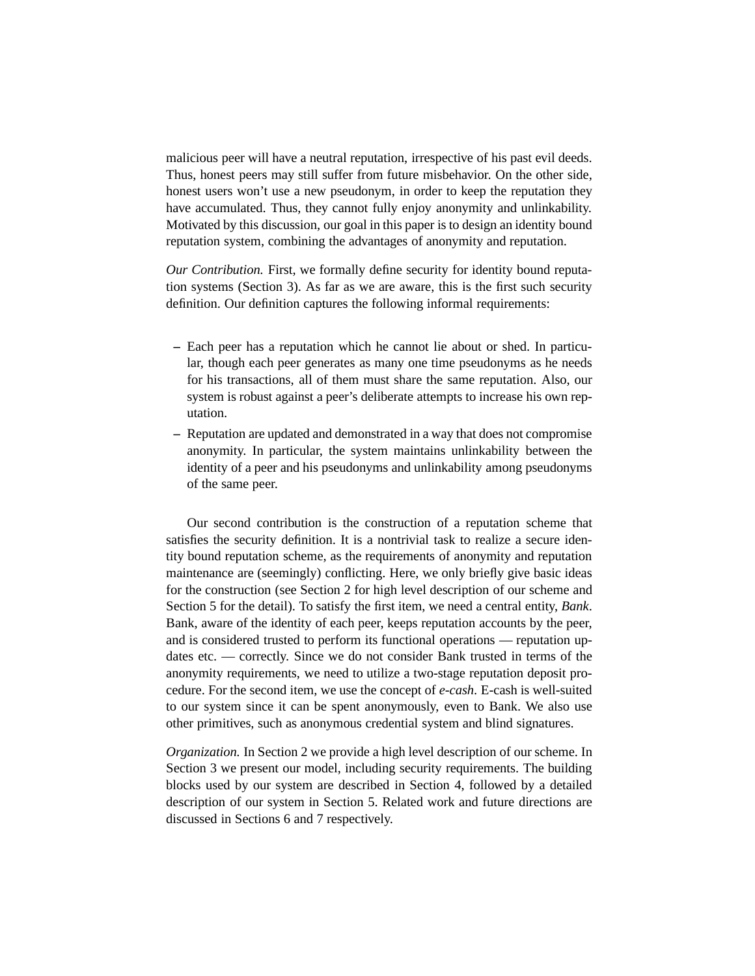malicious peer will have a neutral reputation, irrespective of his past evil deeds. Thus, honest peers may still suffer from future misbehavior. On the other side, honest users won't use a new pseudonym, in order to keep the reputation they have accumulated. Thus, they cannot fully enjoy anonymity and unlinkability. Motivated by this discussion, our goal in this paper is to design an identity bound reputation system, combining the advantages of anonymity and reputation.

*Our Contribution.* First, we formally define security for identity bound reputation systems (Section 3). As far as we are aware, this is the first such security definition. Our definition captures the following informal requirements:

- **–** Each peer has a reputation which he cannot lie about or shed. In particular, though each peer generates as many one time pseudonyms as he needs for his transactions, all of them must share the same reputation. Also, our system is robust against a peer's deliberate attempts to increase his own reputation.
- **–** Reputation are updated and demonstrated in a way that does not compromise anonymity. In particular, the system maintains unlinkability between the identity of a peer and his pseudonyms and unlinkability among pseudonyms of the same peer.

Our second contribution is the construction of a reputation scheme that satisfies the security definition. It is a nontrivial task to realize a secure identity bound reputation scheme, as the requirements of anonymity and reputation maintenance are (seemingly) conflicting. Here, we only briefly give basic ideas for the construction (see Section 2 for high level description of our scheme and Section 5 for the detail). To satisfy the first item, we need a central entity, *Bank*. Bank, aware of the identity of each peer, keeps reputation accounts by the peer, and is considered trusted to perform its functional operations — reputation updates etc. — correctly. Since we do not consider Bank trusted in terms of the anonymity requirements, we need to utilize a two-stage reputation deposit procedure. For the second item, we use the concept of *e-cash*. E-cash is well-suited to our system since it can be spent anonymously, even to Bank. We also use other primitives, such as anonymous credential system and blind signatures.

*Organization.* In Section 2 we provide a high level description of our scheme. In Section 3 we present our model, including security requirements. The building blocks used by our system are described in Section 4, followed by a detailed description of our system in Section 5. Related work and future directions are discussed in Sections 6 and 7 respectively.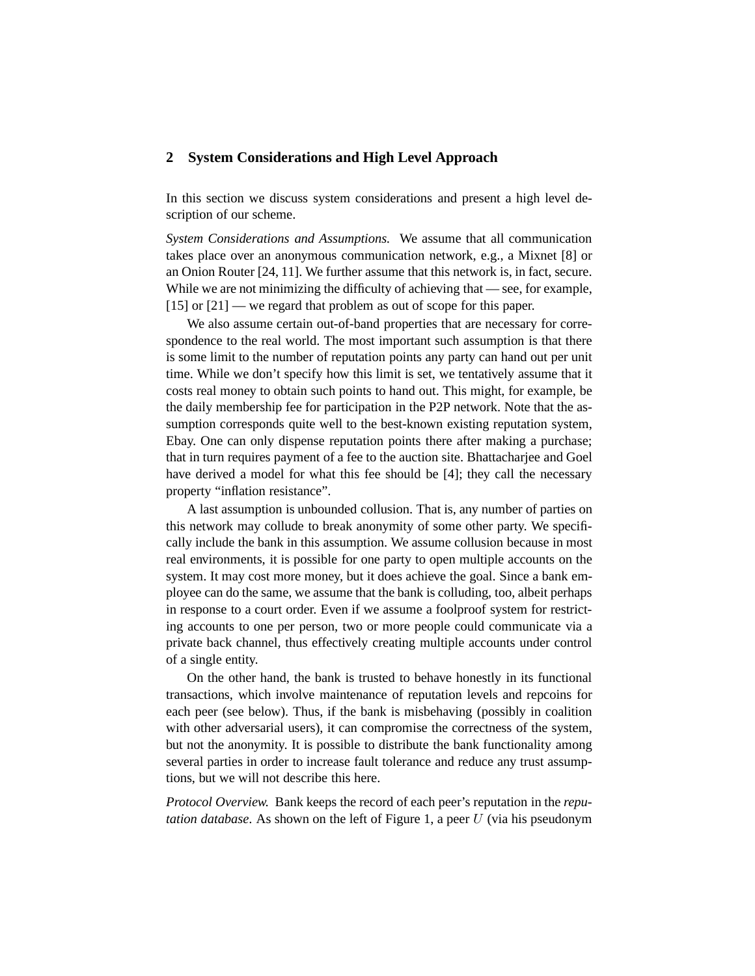# **2 System Considerations and High Level Approach**

In this section we discuss system considerations and present a high level description of our scheme.

*System Considerations and Assumptions.* We assume that all communication takes place over an anonymous communication network, e.g., a Mixnet [8] or an Onion Router [24, 11]. We further assume that this network is, in fact, secure. While we are not minimizing the difficulty of achieving that — see, for example, [15] or  $[21]$  — we regard that problem as out of scope for this paper.

We also assume certain out-of-band properties that are necessary for correspondence to the real world. The most important such assumption is that there is some limit to the number of reputation points any party can hand out per unit time. While we don't specify how this limit is set, we tentatively assume that it costs real money to obtain such points to hand out. This might, for example, be the daily membership fee for participation in the P2P network. Note that the assumption corresponds quite well to the best-known existing reputation system, Ebay. One can only dispense reputation points there after making a purchase; that in turn requires payment of a fee to the auction site. Bhattacharjee and Goel have derived a model for what this fee should be [4]; they call the necessary property "inflation resistance".

A last assumption is unbounded collusion. That is, any number of parties on this network may collude to break anonymity of some other party. We specifically include the bank in this assumption. We assume collusion because in most real environments, it is possible for one party to open multiple accounts on the system. It may cost more money, but it does achieve the goal. Since a bank employee can do the same, we assume that the bank is colluding, too, albeit perhaps in response to a court order. Even if we assume a foolproof system for restricting accounts to one per person, two or more people could communicate via a private back channel, thus effectively creating multiple accounts under control of a single entity.

On the other hand, the bank is trusted to behave honestly in its functional transactions, which involve maintenance of reputation levels and repcoins for each peer (see below). Thus, if the bank is misbehaving (possibly in coalition with other adversarial users), it can compromise the correctness of the system, but not the anonymity. It is possible to distribute the bank functionality among several parties in order to increase fault tolerance and reduce any trust assumptions, but we will not describe this here.

*Protocol Overview.* Bank keeps the record of each peer's reputation in the *reputation database*. As shown on the left of Figure 1, a peer U (via his pseudonym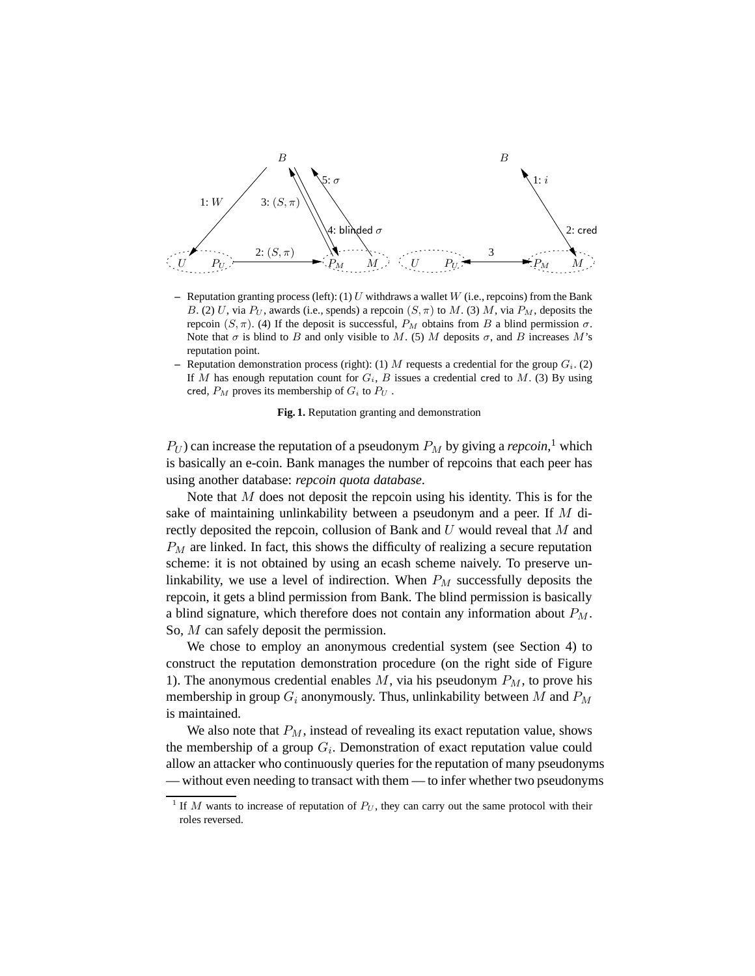

- **–** Reputation granting process (left): (1) U withdraws a wallet W (i.e., repcoins) from the Bank B. (2) U, via  $P_U$ , awards (i.e., spends) a repcoin  $(S, \pi)$  to M. (3) M, via  $P_M$ , deposits the repcoin (S, π). (4) If the deposit is successful,  $P_M$  obtains from B a blind permission σ. Note that  $\sigma$  is blind to B and only visible to M. (5) M deposits  $\sigma$ , and B increases M's reputation point.
- Reputation demonstration process (right): (1) M requests a credential for the group  $G_i$ . (2) If M has enough reputation count for  $G_i$ , B issues a credential cred to M. (3) By using cred,  $P_M$  proves its membership of  $G_i$  to  $P_U$ .

#### **Fig. 1.** Reputation granting and demonstration

 $P_U$ ) can increase the reputation of a pseudonym  $P_M$  by giving a *repcoin*,<sup>1</sup> which is basically an e-coin. Bank manages the number of repcoins that each peer has using another database: *repcoin quota database*.

Note that M does not deposit the repcoin using his identity. This is for the sake of maintaining unlinkability between a pseudonym and a peer. If M directly deposited the repcoin, collusion of Bank and  $U$  would reveal that  $M$  and  $P_M$  are linked. In fact, this shows the difficulty of realizing a secure reputation scheme: it is not obtained by using an ecash scheme naively. To preserve unlinkability, we use a level of indirection. When  $P_M$  successfully deposits the repcoin, it gets a blind permission from Bank. The blind permission is basically a blind signature, which therefore does not contain any information about  $P_M$ . So, M can safely deposit the permission.

We chose to employ an anonymous credential system (see Section 4) to construct the reputation demonstration procedure (on the right side of Figure 1). The anonymous credential enables  $M$ , via his pseudonym  $P_M$ , to prove his membership in group  $G_i$  anonymously. Thus, unlinkability between M and  $P_M$ is maintained.

We also note that  $P_M$ , instead of revealing its exact reputation value, shows the membership of a group  $G_i$ . Demonstration of exact reputation value could allow an attacker who continuously queries for the reputation of many pseudonyms — without even needing to transact with them — to infer whether two pseudonyms

<sup>&</sup>lt;sup>1</sup> If M wants to increase of reputation of  $P_U$ , they can carry out the same protocol with their roles reversed.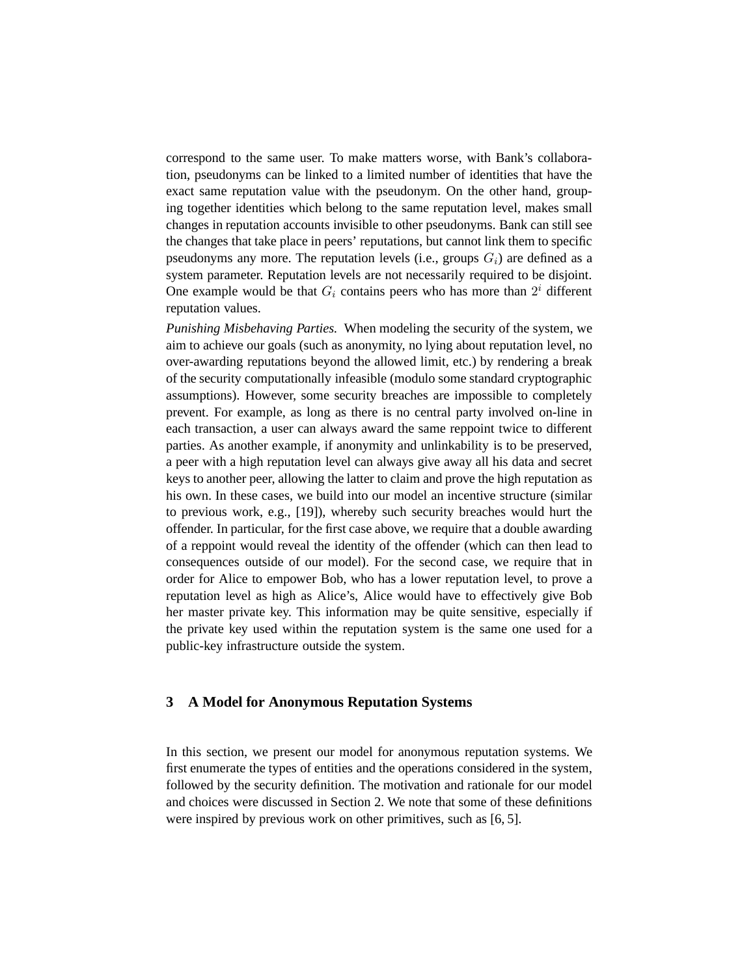correspond to the same user. To make matters worse, with Bank's collaboration, pseudonyms can be linked to a limited number of identities that have the exact same reputation value with the pseudonym. On the other hand, grouping together identities which belong to the same reputation level, makes small changes in reputation accounts invisible to other pseudonyms. Bank can still see the changes that take place in peers' reputations, but cannot link them to specific pseudonyms any more. The reputation levels (i.e., groups  $G_i$ ) are defined as a system parameter. Reputation levels are not necessarily required to be disjoint. One example would be that  $G_i$  contains peers who has more than  $2^i$  different reputation values.

*Punishing Misbehaving Parties.* When modeling the security of the system, we aim to achieve our goals (such as anonymity, no lying about reputation level, no over-awarding reputations beyond the allowed limit, etc.) by rendering a break of the security computationally infeasible (modulo some standard cryptographic assumptions). However, some security breaches are impossible to completely prevent. For example, as long as there is no central party involved on-line in each transaction, a user can always award the same reppoint twice to different parties. As another example, if anonymity and unlinkability is to be preserved, a peer with a high reputation level can always give away all his data and secret keys to another peer, allowing the latter to claim and prove the high reputation as his own. In these cases, we build into our model an incentive structure (similar to previous work, e.g., [19]), whereby such security breaches would hurt the offender. In particular, for the first case above, we require that a double awarding of a reppoint would reveal the identity of the offender (which can then lead to consequences outside of our model). For the second case, we require that in order for Alice to empower Bob, who has a lower reputation level, to prove a reputation level as high as Alice's, Alice would have to effectively give Bob her master private key. This information may be quite sensitive, especially if the private key used within the reputation system is the same one used for a public-key infrastructure outside the system.

## **3 A Model for Anonymous Reputation Systems**

In this section, we present our model for anonymous reputation systems. We first enumerate the types of entities and the operations considered in the system, followed by the security definition. The motivation and rationale for our model and choices were discussed in Section 2. We note that some of these definitions were inspired by previous work on other primitives, such as [6, 5].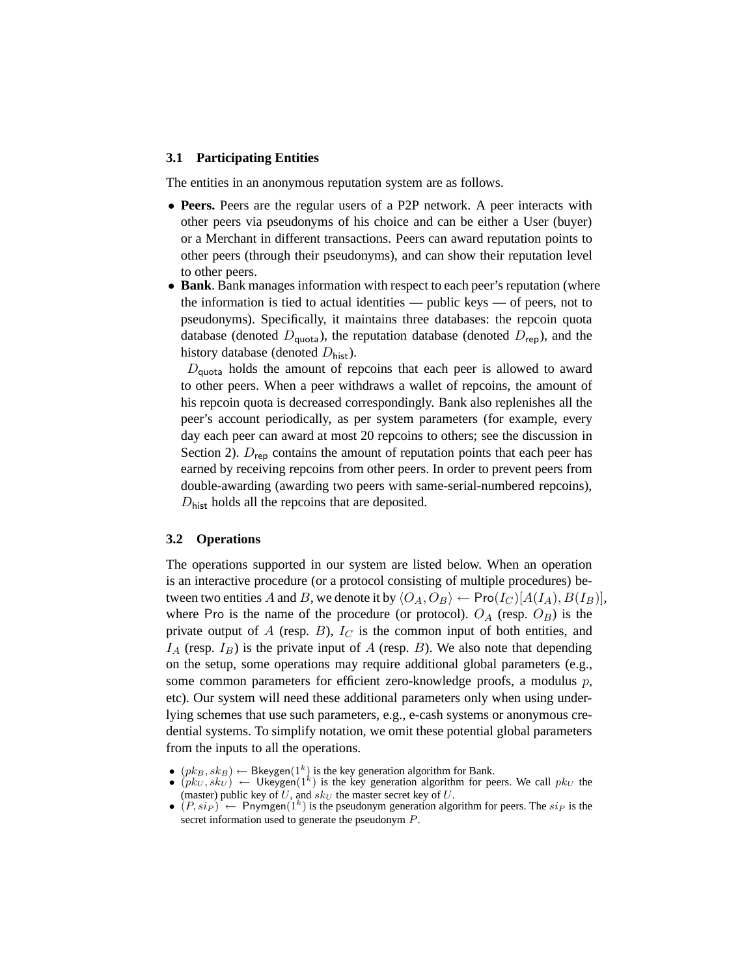#### **3.1 Participating Entities**

The entities in an anonymous reputation system are as follows.

- **Peers.** Peers are the regular users of a P2P network. A peer interacts with other peers via pseudonyms of his choice and can be either a User (buyer) or a Merchant in different transactions. Peers can award reputation points to other peers (through their pseudonyms), and can show their reputation level to other peers.
- **Bank**. Bank manages information with respect to each peer's reputation (where the information is tied to actual identities — public keys — of peers, not to pseudonyms). Specifically, it maintains three databases: the repcoin quota database (denoted  $D_{\text{quot}}$ ), the reputation database (denoted  $D_{\text{rep}}$ ), and the history database (denoted  $D_{\text{hist}}$ ).

 $D_{\text{quota}}$  holds the amount of repcoins that each peer is allowed to award to other peers. When a peer withdraws a wallet of repcoins, the amount of his repcoin quota is decreased correspondingly. Bank also replenishes all the peer's account periodically, as per system parameters (for example, every day each peer can award at most 20 repcoins to others; see the discussion in Section 2).  $D_{\text{rep}}$  contains the amount of reputation points that each peer has earned by receiving repcoins from other peers. In order to prevent peers from double-awarding (awarding two peers with same-serial-numbered repcoins), Dhist holds all the repcoins that are deposited.

### **3.2 Operations**

The operations supported in our system are listed below. When an operation is an interactive procedure (or a protocol consisting of multiple procedures) between two entities A and B, we denote it by  $\langle O_A, O_B \rangle \leftarrow \text{Pro}(I_C)[A(I_A), B(I_B)],$ where Pro is the name of the procedure (or protocol).  $O_A$  (resp.  $O_B$ ) is the private output of A (resp.  $B$ ),  $I_C$  is the common input of both entities, and  $I_A$  (resp.  $I_B$ ) is the private input of A (resp. B). We also note that depending on the setup, some operations may require additional global parameters (e.g., some common parameters for efficient zero-knowledge proofs, a modulus  $p$ , etc). Our system will need these additional parameters only when using underlying schemes that use such parameters, e.g., e-cash systems or anonymous credential systems. To simplify notation, we omit these potential global parameters from the inputs to all the operations.

- 
- $(pk_B, sk_B) \leftarrow Bkeygen(1^k)$  is the key generation algorithm for Bank.<br>•  $(pk_U, sk_U) \leftarrow Ukeygen(1^k)$  is the key generation algorithm for peers. We call  $pk_U$  the (master) public key of  $U$ , and  $sk_U$  the master secret key of  $U$ .
- $(P, sip) \leftarrow$  Pnymgen $(1^k)$  is the pseudonym generation algorithm for peers. The  $sip$  is the secret information used to generate the pseudonym  $P$ .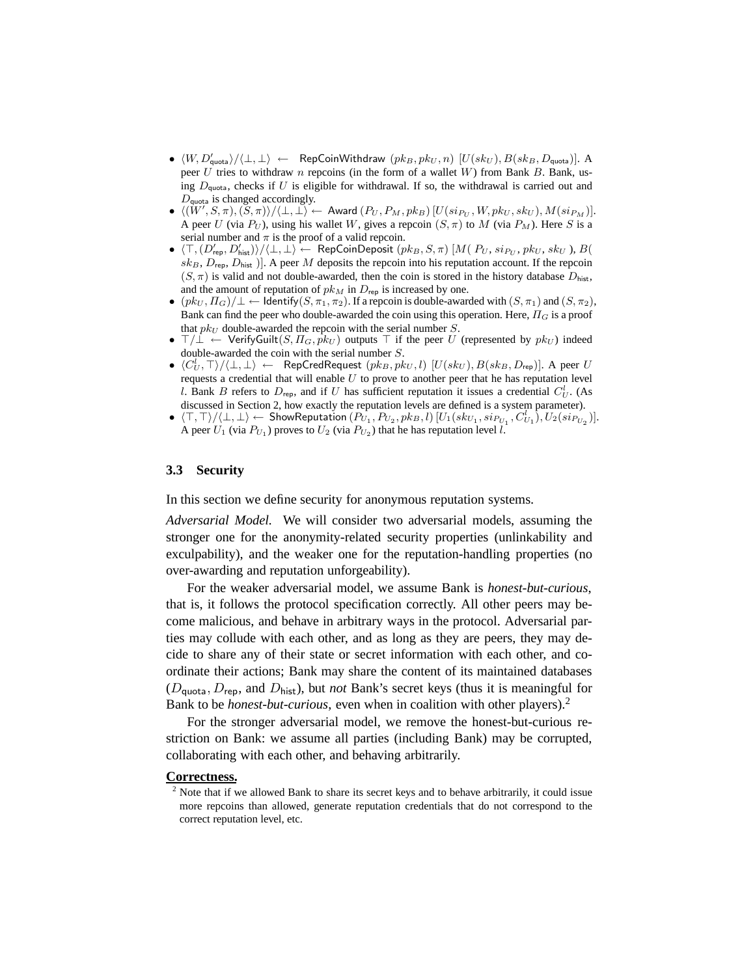- $\bullet$   $\langle W, D'_{\text{quota}}\rangle/\langle\bot,\bot\rangle$  ← RepCoinWithdraw  $(pk_B, pk_U, n)$   $[U(sk_U), B(sk_B, D_{\text{quota}}]$ . A peer U tries to withdraw n repcoins (in the form of a wallet  $W$ ) from Bank B. Bank, using  $D_{\text{quota}}$ , checks if U is eligible for withdrawal. If so, the withdrawal is carried out and  $D_{\text{quot}}$  is changed accordingly.
- $\bullet$   $\langle (W', S, \pi), (S, \pi) \rangle / \langle \perp, \perp \rangle \leftarrow$  Award  $(P_U, P_M, pk_B)$  [U(si<sub>PU</sub>, W, pk<sub>U</sub>, sk<sub>U</sub>), M(si<sub>PM</sub>)]. A peer U (via  $P_U$ ), using his wallet W, gives a repcoin  $(S, \pi)$  to M (via  $P_M$ ). Here S is a serial number and  $\pi$  is the proof of a valid repcoin.
- $\bullet$   $\langle \top, (D'_{\text{rep}}, D'_{\text{hist}}) \rangle / \langle \bot, \bot \rangle$  ← RepCoinDeposit  $(pk_B, S, \pi)$  [M(  $P_U, si_{P_U}, pk_U, sk_U$ ), B(  $sk_B$ ,  $D_{\text{rep}}$ ,  $D_{\text{hist}}$ ). A peer M deposits the repcoin into his reputation account. If the repcoin  $(S, \pi)$  is valid and not double-awarded, then the coin is stored in the history database  $D<sub>hist</sub>$ , and the amount of reputation of  $pk<sub>M</sub>$  in  $D<sub>rep</sub>$  is increased by one.
- $(pkU, \Pi_G)/\bot \leftarrow$  Identify  $(S, \pi_1, \pi_2)$ . If a repcoin is double-awarded with  $(S, \pi_1)$  and  $(S, \pi_2)$ , Bank can find the peer who double-awarded the coin using this operation. Here,  $\Pi_G$  is a proof that  $pk_U$  double-awarded the repcoin with the serial number S.
- $\top/\bot \leftarrow$  VerifyGuilt $(S, \Pi_G, pk_U)$  outputs  $\top$  if the peer U (represented by  $pk_U$ ) indeed double-awarded the coin with the serial number S.
- $\bullet$   $\langle C_U^l, \top \rangle / \langle \bot, \bot \rangle$   $\leftarrow$  RepCredRequest  $(pk_B, pk_U, l)$  [ $U(sk_U), B(sk_B, D_{rep})$ ]. A peer U requests a credential that will enable  $U$  to prove to another peer that he has reputation level l. Bank B refers to  $D_{\text{rep}}$ , and if U has sufficient reputation it issues a credential  $C_U^l$ . (As discussed in Section 2, how exactly the reputation levels are defined is a system parameter).
- $\langle T, T \rangle / \langle T, T \rangle \leftarrow$  ShowReputation  $(P_{U_1}, P_{U_2}, pk_B, l)$  [U<sub>1</sub>(sk<sub>U<sub>1</sub></sub>, si<sub>PU<sub>1</sub></sub>, C<sub>U<sub>1</sub></sub>), U<sub>2</sub>(si<sub>PU<sub>2</sub></sub>)]. A peer  $U_1$  (via  $P_{U_1}$ ) proves to  $U_2$  (via  $P_{U_2}$ ) that he has reputation level l.

#### **3.3 Security**

In this section we define security for anonymous reputation systems.

*Adversarial Model.* We will consider two adversarial models, assuming the stronger one for the anonymity-related security properties (unlinkability and exculpability), and the weaker one for the reputation-handling properties (no over-awarding and reputation unforgeability).

For the weaker adversarial model, we assume Bank is *honest-but-curious*, that is, it follows the protocol specification correctly. All other peers may become malicious, and behave in arbitrary ways in the protocol. Adversarial parties may collude with each other, and as long as they are peers, they may decide to share any of their state or secret information with each other, and coordinate their actions; Bank may share the content of its maintained databases  $(D_{\text{quot}}$ ,  $D_{\text{rep}}$ , and  $D_{\text{hist}}$ ), but *not* Bank's secret keys (thus it is meaningful for Bank to be *honest-but-curious*, even when in coalition with other players).<sup>2</sup>

For the stronger adversarial model, we remove the honest-but-curious restriction on Bank: we assume all parties (including Bank) may be corrupted, collaborating with each other, and behaving arbitrarily.

## **Correctness.**

<sup>2</sup> Note that if we allowed Bank to share its secret keys and to behave arbitrarily, it could issue more repcoins than allowed, generate reputation credentials that do not correspond to the correct reputation level, etc.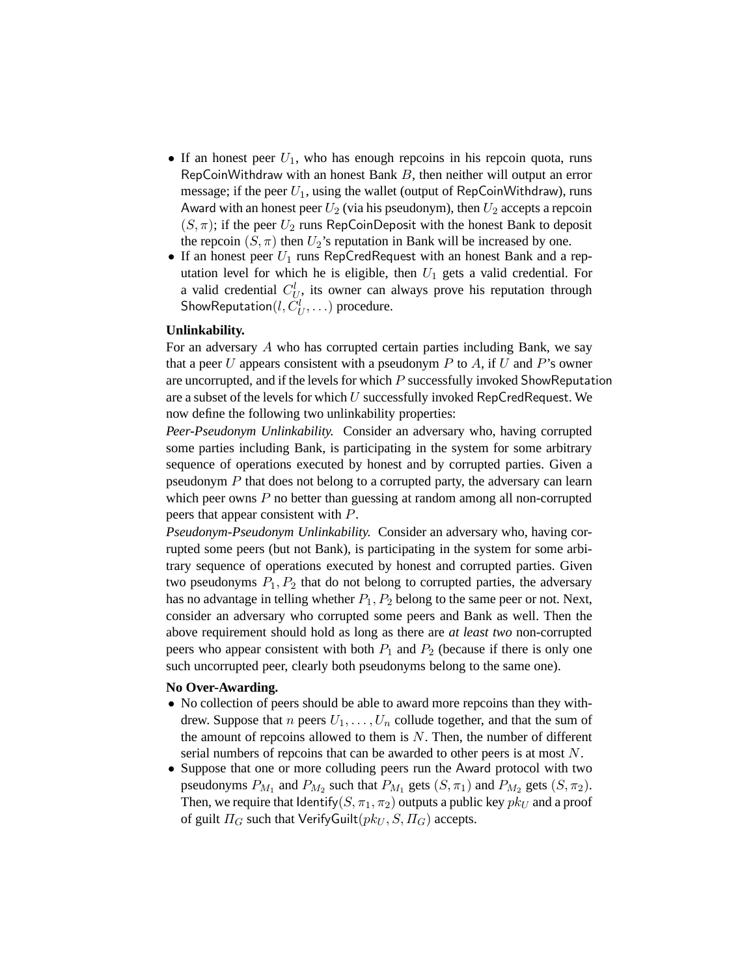- If an honest peer  $U_1$ , who has enough repcoins in his repcoin quota, runs RepCoinWithdraw with an honest Bank  $B$ , then neither will output an error message; if the peer  $U_1$ , using the wallet (output of RepCoinWithdraw), runs Award with an honest peer  $U_2$  (via his pseudonym), then  $U_2$  accepts a repcoin  $(S, \pi)$ ; if the peer  $U_2$  runs RepCoinDeposit with the honest Bank to deposit the repcoin  $(S, \pi)$  then  $U_2$ 's reputation in Bank will be increased by one.
- If an honest peer  $U_1$  runs RepCredRequest with an honest Bank and a reputation level for which he is eligible, then  $U_1$  gets a valid credential. For a valid credential  $C_{U}^{l}$ , its owner can always prove his reputation through  $\mathsf{ShowReputation} (l, C_{U}^{l}, \ldots) \text{ procedure}.$

#### **Unlinkability.**

For an adversary A who has corrupted certain parties including Bank, we say that a peer U appears consistent with a pseudonym  $P$  to  $A$ , if U and  $P$ 's owner are uncorrupted, and if the levels for which  $P$  successfully invoked ShowReputation are a subset of the levels for which  $U$  successfully invoked RepCredRequest. We now define the following two unlinkability properties:

*Peer-Pseudonym Unlinkability.* Consider an adversary who, having corrupted some parties including Bank, is participating in the system for some arbitrary sequence of operations executed by honest and by corrupted parties. Given a pseudonym P that does not belong to a corrupted party, the adversary can learn which peer owns  $P$  no better than guessing at random among all non-corrupted peers that appear consistent with P.

*Pseudonym-Pseudonym Unlinkability.* Consider an adversary who, having corrupted some peers (but not Bank), is participating in the system for some arbitrary sequence of operations executed by honest and corrupted parties. Given two pseudonyms  $P_1, P_2$  that do not belong to corrupted parties, the adversary has no advantage in telling whether  $P_1$ ,  $P_2$  belong to the same peer or not. Next, consider an adversary who corrupted some peers and Bank as well. Then the above requirement should hold as long as there are *at least two* non-corrupted peers who appear consistent with both  $P_1$  and  $P_2$  (because if there is only one such uncorrupted peer, clearly both pseudonyms belong to the same one).

### **No Over-Awarding.**

- No collection of peers should be able to award more repcoins than they withdrew. Suppose that n peers  $U_1, \ldots, U_n$  collude together, and that the sum of the amount of repcoins allowed to them is  $N$ . Then, the number of different serial numbers of repcoins that can be awarded to other peers is at most N.
- Suppose that one or more colluding peers run the Award protocol with two pseudonyms  $P_{M_1}$  and  $P_{M_2}$  such that  $P_{M_1}$  gets  $(S, \pi_1)$  and  $P_{M_2}$  gets  $(S, \pi_2)$ . Then, we require that Identify( $S$ ,  $\pi_1$ ,  $\pi_2$ ) outputs a public key  $pk_U$  and a proof of guilt  $\Pi_G$  such that VerifyGuilt $(pk_U, S, \Pi_G)$  accepts.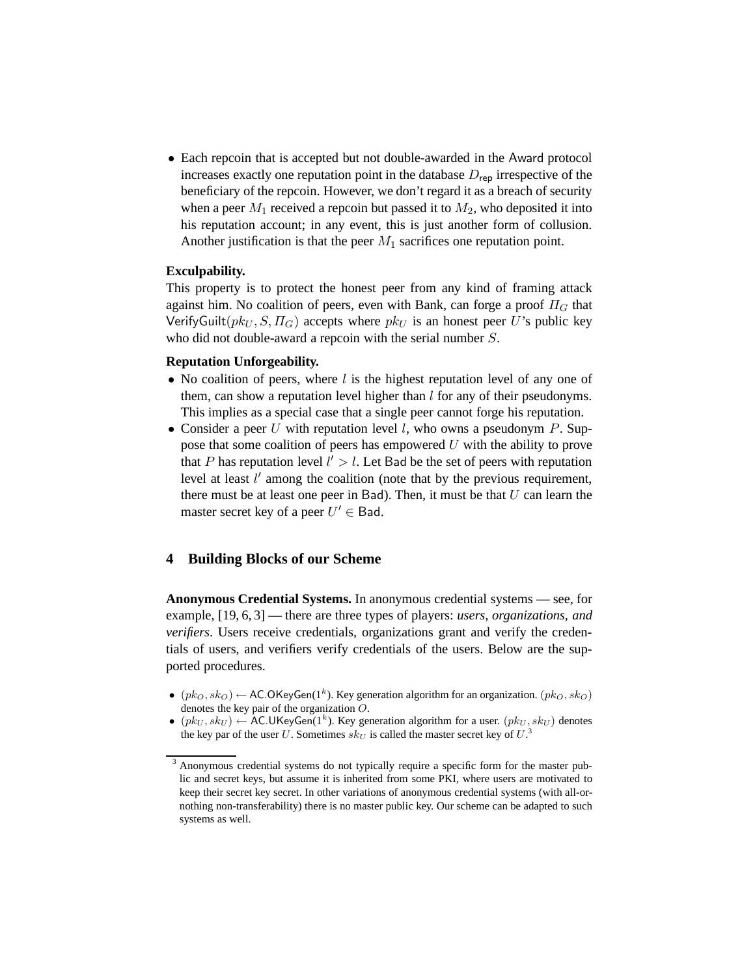• Each repcoin that is accepted but not double-awarded in the Award protocol increases exactly one reputation point in the database  $D_{\text{rep}}$  irrespective of the beneficiary of the repcoin. However, we don't regard it as a breach of security when a peer  $M_1$  received a repcoin but passed it to  $M_2$ , who deposited it into his reputation account; in any event, this is just another form of collusion. Another justification is that the peer  $M_1$  sacrifices one reputation point.

# **Exculpability.**

This property is to protect the honest peer from any kind of framing attack against him. No coalition of peers, even with Bank, can forge a proof  $\Pi_G$  that VerifyGuilt( $pk_U, S, \Pi_G$ ) accepts where  $pk_U$  is an honest peer U's public key who did not double-award a repcoin with the serial number S.

## **Reputation Unforgeability.**

- No coalition of peers, where  $l$  is the highest reputation level of any one of them, can show a reputation level higher than  $l$  for any of their pseudonyms. This implies as a special case that a single peer cannot forge his reputation.
- Consider a peer U with reputation level l, who owns a pseudonym  $P$ . Suppose that some coalition of peers has empowered  $U$  with the ability to prove that P has reputation level  $l' > l$ . Let Bad be the set of peers with reputation level at least  $l'$  among the coalition (note that by the previous requirement, there must be at least one peer in Bad). Then, it must be that  $U$  can learn the master secret key of a peer  $U' \in$  Bad.

# **4 Building Blocks of our Scheme**

**Anonymous Credential Systems.** In anonymous credential systems — see, for example, [19, 6, 3] — there are three types of players: *users, organizations, and verifiers*. Users receive credentials, organizations grant and verify the credentials of users, and verifiers verify credentials of the users. Below are the supported procedures.

- $(pk_O, sk_O) \leftarrow$  AC.OKeyGen(1<sup>k</sup>). Key generation algorithm for an organization.  $(pk_O, sk_O)$ denotes the key pair of the organization O.
- $(pk_U, sk_U) \leftarrow AC.UKeyGen(1^k)$ . Key generation algorithm for a user.  $(pk_U, sk_U)$  denotes the key par of the user U. Sometimes  $sk_U$  is called the master secret key of  $U^3$ .

<sup>&</sup>lt;sup>3</sup> Anonymous credential systems do not typically require a specific form for the master public and secret keys, but assume it is inherited from some PKI, where users are motivated to keep their secret key secret. In other variations of anonymous credential systems (with all-ornothing non-transferability) there is no master public key. Our scheme can be adapted to such systems as well.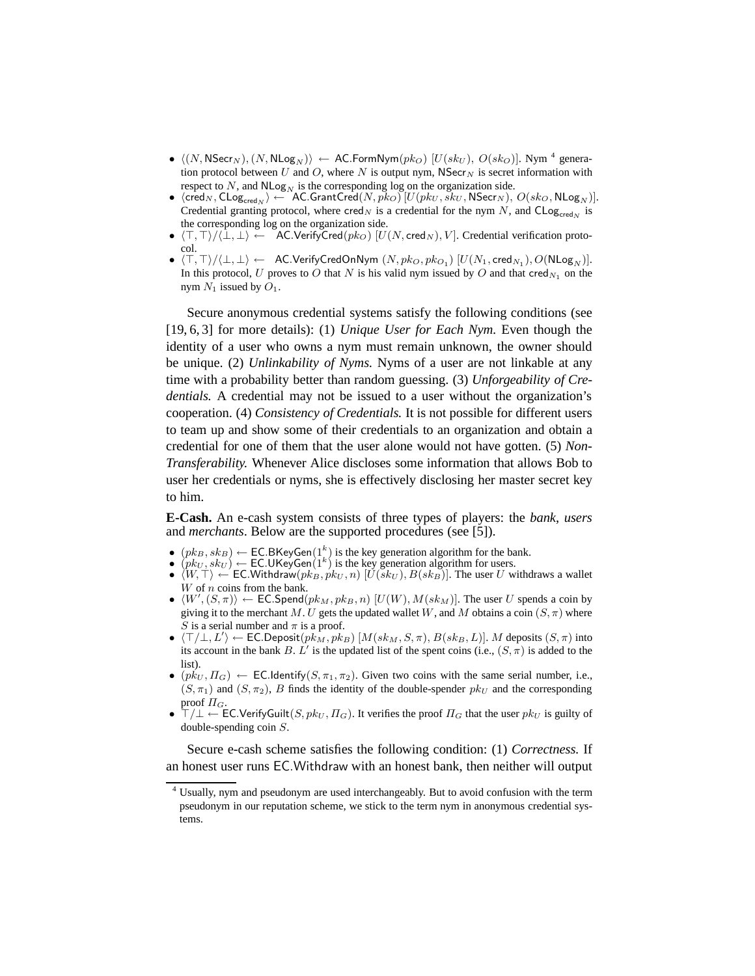- $\langle (N, \text{NSec}_{N}), (N, \text{NLog}_{N}) \rangle \leftarrow \text{AC.FormNym}(pk_{O})$  [ $U(sk_{U})$ ,  $O(sk_{O})$ ]. Nym<sup>4</sup> generation protocol between U and O, where N is output nym, NSecr<sub>N</sub> is secret information with respect to  $N$ , and  $NLog_N$  is the corresponding log on the organization side.
- $\bullet \ \langle \mathsf{cred}_N , \mathsf{CLog}_{\mathsf{cred}_N} \rangle \leftarrow \big[\mathsf{AC}.\mathsf{GrantCred}(N, p k_O)\, [U(p k_U, sk_U, \mathsf{NSecr}_N), \, O(sk_O, \mathsf{NLog}_N)].$ Credential granting protocol, where cred<sub>N</sub> is a credential for the nym N, and  $\text{CLog}_{\text{cred}_N}$  is the corresponding log on the organization side.
- $\langle T, T \rangle / \langle \overline{\bot}, \bot \rangle$  ← AC.VerifyCred(pk<sub>O</sub>) [U(N, cred<sub>N</sub>), V]. Credential verification protocol.
- $\bullet$   $\langle \top, \top \rangle / \langle \bot, \bot \rangle$  ← AC.VerifyCredOnNym  $(N, p k_{O}, p k_{O_1})$   $[U(N_1, \text{cred}_{N_1}), O(\textsf{NLog}_N)]$ . In this protocol, U proves to O that N is his valid nym issued by O and that  $\text{cred}_{N_1}$  on the nym  $N_1$  issued by  $O_1$ .

Secure anonymous credential systems satisfy the following conditions (see [19, 6, 3] for more details): (1) *Unique User for Each Nym.* Even though the identity of a user who owns a nym must remain unknown, the owner should be unique. (2) *Unlinkability of Nyms.* Nyms of a user are not linkable at any time with a probability better than random guessing. (3) *Unforgeability of Credentials.* A credential may not be issued to a user without the organization's cooperation. (4) *Consistency of Credentials.* It is not possible for different users to team up and show some of their credentials to an organization and obtain a credential for one of them that the user alone would not have gotten. (5) *Non-Transferability.* Whenever Alice discloses some information that allows Bob to user her credentials or nyms, she is effectively disclosing her master secret key to him.

**E-Cash.** An e-cash system consists of three types of players: the *bank*, *users* and *merchants*. Below are the supported procedures (see [5]).

- $(pk_B, sk_B) \leftarrow EC.BKeyGen(1^k)$  is the key generation algorithm for the bank.<br>•  $(pk_U, sk_U) \leftarrow EC.UKeyGen(1^k)$  is the key generation algorithm for users.
- 
- $\langle W, \top \rangle \leftarrow$  EC.Withdraw $(pk_B, pk_U, n)$  [ $U(sky), B(skg)$ ]. The user U withdraws a wallet  $W$  of  $n$  coins from the bank.
- $\bullet$   $\langle W', (S, \pi) \rangle \leftarrow \mathsf{EC}$ . Spend $(pk_M, pk_B, n)$  [U(W),  $M(sk_M)$ ]. The user U spends a coin by giving it to the merchant M. U gets the updated wallet W, and M obtains a coin  $(S, \pi)$  where S is a serial number and  $\pi$  is a proof.
- $\langle T/\perp, L'\rangle \leftarrow \mathsf{EC}$ .Deposit $(pk_M, p k_B)$   $[M(s k_M, S, \pi), B(s k_B, L)]$ . M deposits  $(S, \pi)$  into its account in the bank B. L' is the updated list of the spent coins (i.e.,  $(S, \pi)$  is added to the list).
- $(pky, \Pi_G) \leftarrow$  EC.Identify $(S, \pi_1, \pi_2)$ . Given two coins with the same serial number, i.e.,  $(S, \pi_1)$  and  $(S, \pi_2)$ , B finds the identity of the double-spender  $pk_U$  and the corresponding proof  $\Pi_G.$
- $\top/\bot \leftarrow \textsf{EC}.\textsf{VerifyGulit}(S, pk_U, H_G)$ . It verifies the proof  $H_G$  that the user  $pk_U$  is guilty of double-spending coin S.

Secure e-cash scheme satisfies the following condition: (1) *Correctness.* If an honest user runs EC.Withdraw with an honest bank, then neither will output

<sup>4</sup> Usually, nym and pseudonym are used interchangeably. But to avoid confusion with the term pseudonym in our reputation scheme, we stick to the term nym in anonymous credential systems.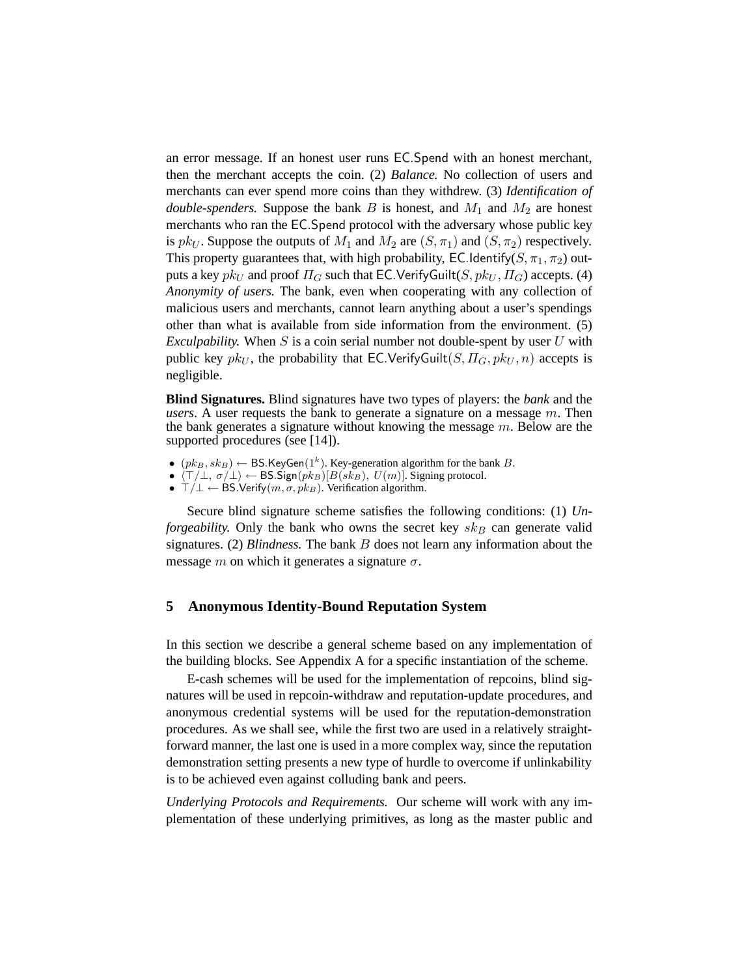an error message. If an honest user runs EC.Spend with an honest merchant, then the merchant accepts the coin. (2) *Balance.* No collection of users and merchants can ever spend more coins than they withdrew. (3) *Identification of double-spenders.* Suppose the bank  $B$  is honest, and  $M_1$  and  $M_2$  are honest merchants who ran the EC.Spend protocol with the adversary whose public key is  $pk_U$ . Suppose the outputs of  $M_1$  and  $M_2$  are  $(S, \pi_1)$  and  $(S, \pi_2)$  respectively. This property guarantees that, with high probability, EC.Identify( $S, \pi_1, \pi_2$ ) outputs a key  $pk_U$  and proof  $\Pi_G$  such that EC.VerifyGuilt( $S, pk_U, \Pi_G$ ) accepts. (4) *Anonymity of users.* The bank, even when cooperating with any collection of malicious users and merchants, cannot learn anything about a user's spendings other than what is available from side information from the environment. (5) *Exculpability.* When  $S$  is a coin serial number not double-spent by user  $U$  with public key  $pk_U$ , the probability that EC.VerifyGuilt $(S, \Pi_G, pk_U, n)$  accepts is negligible.

**Blind Signatures.** Blind signatures have two types of players: the *bank* and the *users*. A user requests the bank to generate a signature on a message m. Then the bank generates a signature without knowing the message  $m$ . Below are the supported procedures (see [14]).

- $(pk_B, sk_B) \leftarrow BS.KeyGen(1^k)$ . Key-generation algorithm for the bank B.
- $\langle \top/\bot, \sigma/\bot \rangle$  ← BS.Sign $(pk_B)[B(\overline{sk}_B), U(m)]$ . Signing protocol.
- $\top/\bot \leftarrow BS$ . Verify $(m, \sigma, pk_B)$ . Verification algorithm.

Secure blind signature scheme satisfies the following conditions: (1) *Unforgeability*. Only the bank who owns the secret key  $s k_B$  can generate valid signatures. (2) *Blindness.* The bank B does not learn any information about the message m on which it generates a signature  $\sigma$ .

# **5 Anonymous Identity-Bound Reputation System**

In this section we describe a general scheme based on any implementation of the building blocks. See Appendix A for a specific instantiation of the scheme.

E-cash schemes will be used for the implementation of repcoins, blind signatures will be used in repcoin-withdraw and reputation-update procedures, and anonymous credential systems will be used for the reputation-demonstration procedures. As we shall see, while the first two are used in a relatively straightforward manner, the last one is used in a more complex way, since the reputation demonstration setting presents a new type of hurdle to overcome if unlinkability is to be achieved even against colluding bank and peers.

*Underlying Protocols and Requirements.* Our scheme will work with any implementation of these underlying primitives, as long as the master public and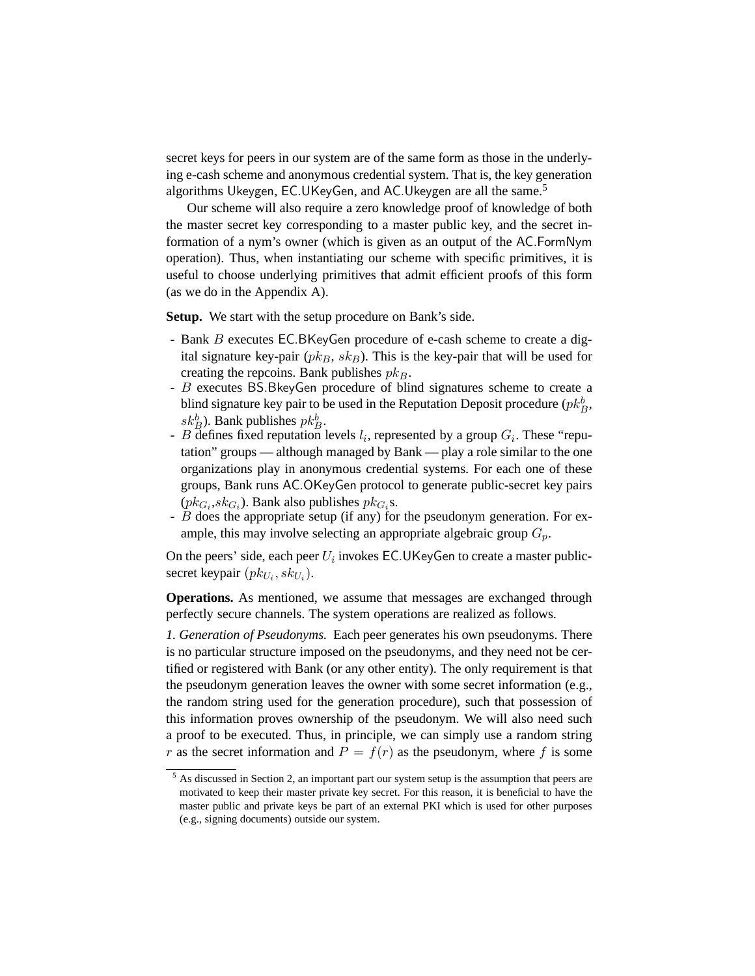secret keys for peers in our system are of the same form as those in the underlying e-cash scheme and anonymous credential system. That is, the key generation algorithms Ukeygen, EC.UKeyGen, and AC.Ukeygen are all the same.<sup>5</sup>

Our scheme will also require a zero knowledge proof of knowledge of both the master secret key corresponding to a master public key, and the secret information of a nym's owner (which is given as an output of the AC.FormNym operation). Thus, when instantiating our scheme with specific primitives, it is useful to choose underlying primitives that admit efficient proofs of this form (as we do in the Appendix A).

**Setup.** We start with the setup procedure on Bank's side.

- Bank B executes EC.BKeyGen procedure of e-cash scheme to create a digital signature key-pair ( $pk_B$ ,  $sk_B$ ). This is the key-pair that will be used for creating the repcoins. Bank publishes  $pk_B$ .
- B executes BS.BkeyGen procedure of blind signatures scheme to create a blind signature key pair to be used in the Reputation Deposit procedure  $(pk_B^b)$ ,  $sk_B^b$ ). Bank publishes  $pk_B^b$ .
- B defines fixed reputation levels  $l_i$ , represented by a group  $G_i$ . These "reputation" groups — although managed by Bank — play a role similar to the one organizations play in anonymous credential systems. For each one of these groups, Bank runs AC.OKeyGen protocol to generate public-secret key pairs  $(pk_{G_i}, sk_{G_i})$ . Bank also publishes  $pk_{G_i}$ s.
- B does the appropriate setup (if any) for the pseudonym generation. For example, this may involve selecting an appropriate algebraic group  $G_p$ .

On the peers' side, each peer  $U_i$  invokes EC.UKeyGen to create a master publicsecret keypair  $(pk_{U_i}, sk_{U_i})$ .

**Operations.** As mentioned, we assume that messages are exchanged through perfectly secure channels. The system operations are realized as follows.

*1. Generation of Pseudonyms.* Each peer generates his own pseudonyms. There is no particular structure imposed on the pseudonyms, and they need not be certified or registered with Bank (or any other entity). The only requirement is that the pseudonym generation leaves the owner with some secret information (e.g., the random string used for the generation procedure), such that possession of this information proves ownership of the pseudonym. We will also need such a proof to be executed. Thus, in principle, we can simply use a random string r as the secret information and  $P = f(r)$  as the pseudonym, where f is some

<sup>&</sup>lt;sup>5</sup> As discussed in Section 2, an important part our system setup is the assumption that peers are motivated to keep their master private key secret. For this reason, it is beneficial to have the master public and private keys be part of an external PKI which is used for other purposes (e.g., signing documents) outside our system.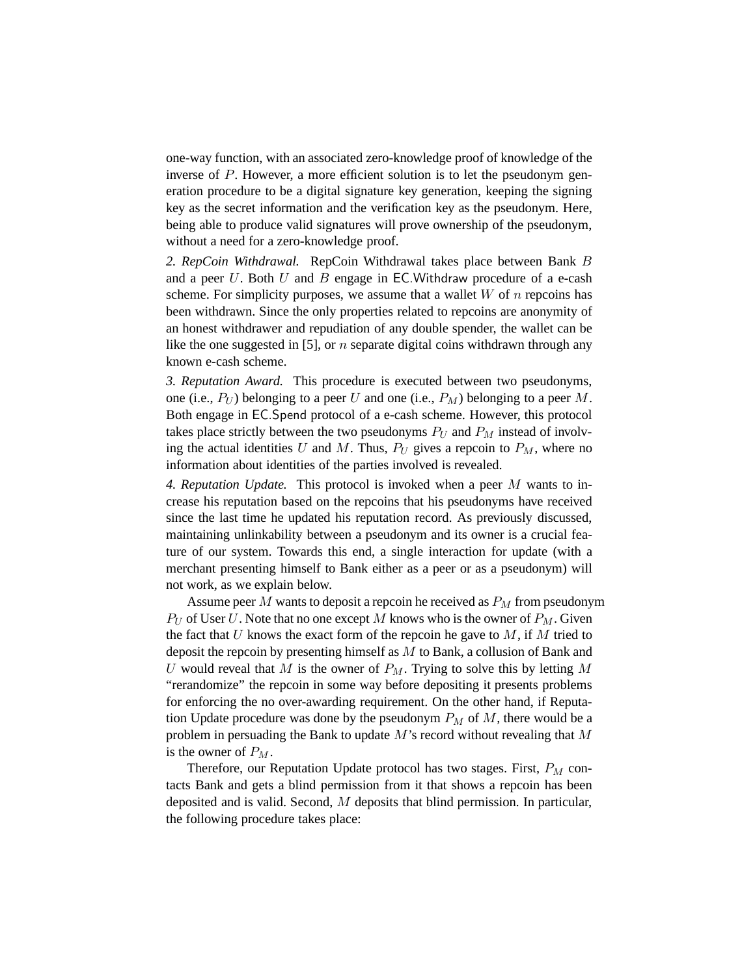one-way function, with an associated zero-knowledge proof of knowledge of the inverse of P. However, a more efficient solution is to let the pseudonym generation procedure to be a digital signature key generation, keeping the signing key as the secret information and the verification key as the pseudonym. Here, being able to produce valid signatures will prove ownership of the pseudonym, without a need for a zero-knowledge proof.

*2. RepCoin Withdrawal.* RepCoin Withdrawal takes place between Bank B and a peer  $U$ . Both  $U$  and  $B$  engage in EC. Withdraw procedure of a e-cash scheme. For simplicity purposes, we assume that a wallet  $W$  of  $n$  repcoins has been withdrawn. Since the only properties related to repcoins are anonymity of an honest withdrawer and repudiation of any double spender, the wallet can be like the one suggested in [5], or  $n$  separate digital coins withdrawn through any known e-cash scheme.

*3. Reputation Award.* This procedure is executed between two pseudonyms, one (i.e.,  $P_U$ ) belonging to a peer U and one (i.e.,  $P_M$ ) belonging to a peer M. Both engage in EC.Spend protocol of a e-cash scheme. However, this protocol takes place strictly between the two pseudonyms  $P_U$  and  $P_M$  instead of involving the actual identities U and M. Thus,  $P_U$  gives a repcoin to  $P_M$ , where no information about identities of the parties involved is revealed.

*4. Reputation Update.* This protocol is invoked when a peer M wants to increase his reputation based on the repcoins that his pseudonyms have received since the last time he updated his reputation record. As previously discussed, maintaining unlinkability between a pseudonym and its owner is a crucial feature of our system. Towards this end, a single interaction for update (with a merchant presenting himself to Bank either as a peer or as a pseudonym) will not work, as we explain below.

Assume peer  $M$  wants to deposit a repcoin he received as  $P_M$  from pseudonym  $P_U$  of User U. Note that no one except M knows who is the owner of  $P_M$ . Given the fact that U knows the exact form of the repcoin he gave to  $M$ , if M tried to deposit the repcoin by presenting himself as M to Bank, a collusion of Bank and U would reveal that M is the owner of  $P_M$ . Trying to solve this by letting M "rerandomize" the repcoin in some way before depositing it presents problems for enforcing the no over-awarding requirement. On the other hand, if Reputation Update procedure was done by the pseudonym  $P_M$  of M, there would be a problem in persuading the Bank to update  $M$ 's record without revealing that  $M$ is the owner of  $P_M$ .

Therefore, our Reputation Update protocol has two stages. First,  $P_M$  contacts Bank and gets a blind permission from it that shows a repcoin has been deposited and is valid. Second, M deposits that blind permission. In particular, the following procedure takes place: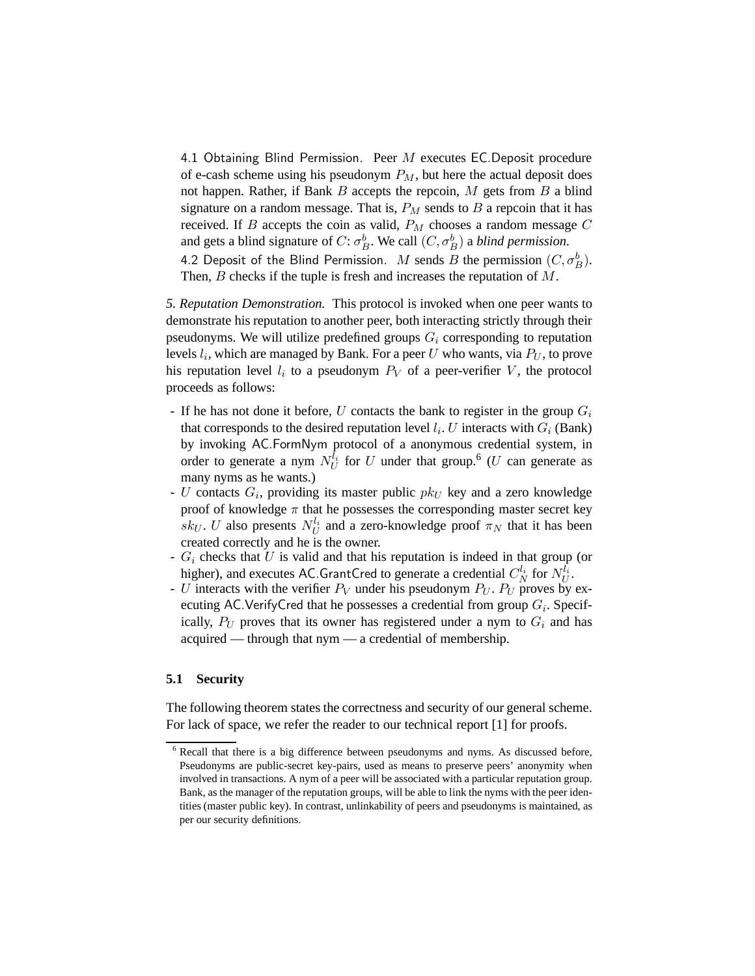4.1 Obtaining Blind Permission. Peer  $M$  executes EC.Deposit procedure of e-cash scheme using his pseudonym  $P_M$ , but here the actual deposit does not happen. Rather, if Bank  $B$  accepts the repcoin,  $M$  gets from  $B$  a blind signature on a random message. That is,  $P_M$  sends to  $B$  a repcoin that it has received. If  $B$  accepts the coin as valid,  $P_M$  chooses a random message  $C$ and gets a blind signature of  $C: \sigma_B^b$ . We call  $(C, \sigma_B^b)$  a *blind permission*.

4.2 Deposit of the Blind Permission.  $M$  sends  $B$  the permission  $(C, \sigma_B^b)$ . Then, B checks if the tuple is fresh and increases the reputation of M.

*5. Reputation Demonstration.* This protocol is invoked when one peer wants to demonstrate his reputation to another peer, both interacting strictly through their pseudonyms. We will utilize predefined groups  $G_i$  corresponding to reputation levels  $l_i$ , which are managed by Bank. For a peer  $U$  who wants, via  $P_U$ , to prove his reputation level  $l_i$  to a pseudonym  $P_V$  of a peer-verifier V, the protocol proceeds as follows:

- If he has not done it before, U contacts the bank to register in the group  $G_i$ that corresponds to the desired reputation level  $l_i$ . U interacts with  $G_i$  (Bank) by invoking AC.FormNym protocol of a anonymous credential system, in order to generate a nym  $N_{II}^{\bar{l}_i}$  $U_U^{l_i}$  for U under that group.<sup>6</sup> (U can generate as many nyms as he wants.)
- U contacts  $G_i$ , providing its master public  $pk_U$  key and a zero knowledge proof of knowledge  $\pi$  that he possesses the corresponding master secret key  $sk_U$ . U also presents  $N_U^{l_i}$  $U_U^{l_i}$  and a zero-knowledge proof  $\pi_N$  that it has been created correctly and he is the owner.
- $G_i$  checks that U is valid and that his reputation is indeed in that group (or higher), and executes AC.GrantCred to generate a credential  $C_N^{l_i}$  $\frac{d_i}{N}$  for  $N_U^{\bar{l_i}}$  $_U^{\iota_i}.$
- U interacts with the verifier  $P_V$  under his pseudonym  $P_U$ .  $P_U$  proves by executing AC.VerifyCred that he possesses a credential from group  $G_i$ . Specifically,  $P_U$  proves that its owner has registered under a nym to  $G_i$  and has acquired — through that nym — a credential of membership.

#### **5.1 Security**

The following theorem states the correctness and security of our general scheme. For lack of space, we refer the reader to our technical report [1] for proofs.

<sup>6</sup> Recall that there is a big difference between pseudonyms and nyms. As discussed before, Pseudonyms are public-secret key-pairs, used as means to preserve peers' anonymity when involved in transactions. A nym of a peer will be associated with a particular reputation group. Bank, as the manager of the reputation groups, will be able to link the nyms with the peer identities (master public key). In contrast, unlinkability of peers and pseudonyms is maintained, as per our security definitions.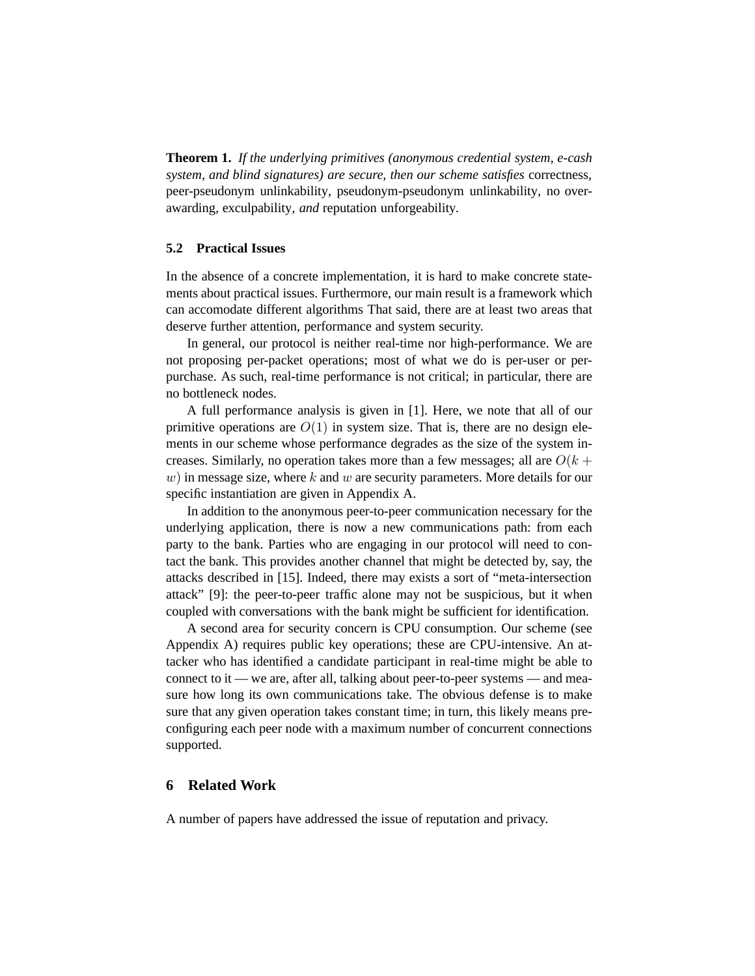**Theorem 1.** *If the underlying primitives (anonymous credential system, e-cash system, and blind signatures) are secure, then our scheme satisfies* correctness*,* peer-pseudonym unlinkability*,* pseudonym-pseudonym unlinkability*,* no overawarding*,* exculpability*, and* reputation unforgeability*.*

### **5.2 Practical Issues**

In the absence of a concrete implementation, it is hard to make concrete statements about practical issues. Furthermore, our main result is a framework which can accomodate different algorithms That said, there are at least two areas that deserve further attention, performance and system security.

In general, our protocol is neither real-time nor high-performance. We are not proposing per-packet operations; most of what we do is per-user or perpurchase. As such, real-time performance is not critical; in particular, there are no bottleneck nodes.

A full performance analysis is given in [1]. Here, we note that all of our primitive operations are  $O(1)$  in system size. That is, there are no design elements in our scheme whose performance degrades as the size of the system increases. Similarly, no operation takes more than a few messages; all are  $O(k +$ w) in message size, where k and w are security parameters. More details for our specific instantiation are given in Appendix A.

In addition to the anonymous peer-to-peer communication necessary for the underlying application, there is now a new communications path: from each party to the bank. Parties who are engaging in our protocol will need to contact the bank. This provides another channel that might be detected by, say, the attacks described in [15]. Indeed, there may exists a sort of "meta-intersection attack" [9]: the peer-to-peer traffic alone may not be suspicious, but it when coupled with conversations with the bank might be sufficient for identification.

A second area for security concern is CPU consumption. Our scheme (see Appendix A) requires public key operations; these are CPU-intensive. An attacker who has identified a candidate participant in real-time might be able to connect to it — we are, after all, talking about peer-to-peer systems — and measure how long its own communications take. The obvious defense is to make sure that any given operation takes constant time; in turn, this likely means preconfiguring each peer node with a maximum number of concurrent connections supported.

# **6 Related Work**

A number of papers have addressed the issue of reputation and privacy.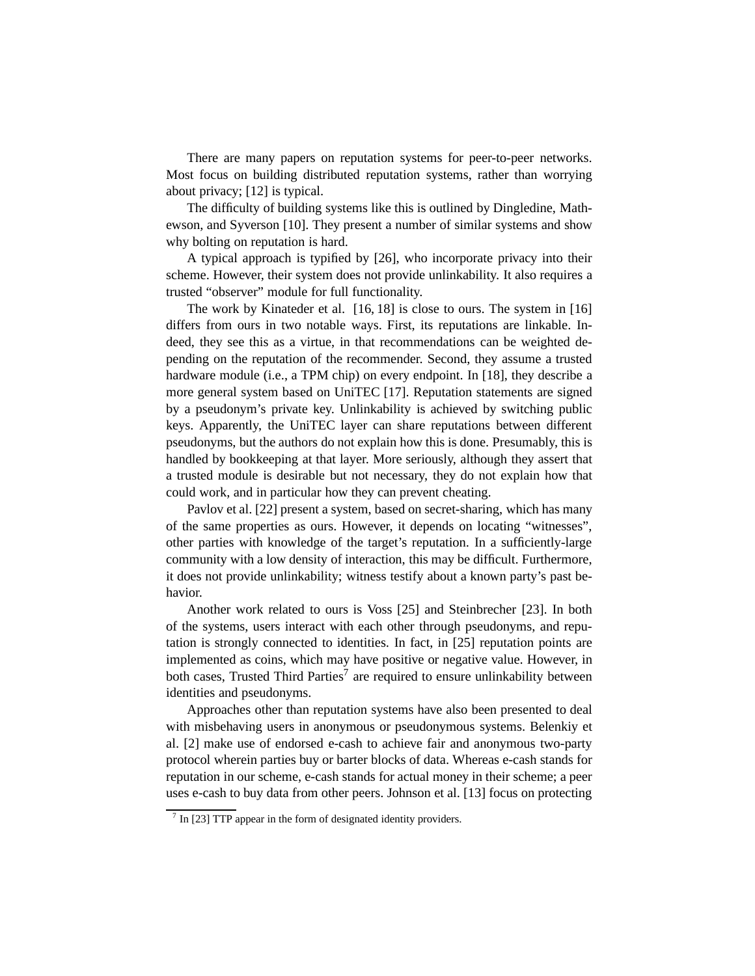There are many papers on reputation systems for peer-to-peer networks. Most focus on building distributed reputation systems, rather than worrying about privacy; [12] is typical.

The difficulty of building systems like this is outlined by Dingledine, Mathewson, and Syverson [10]. They present a number of similar systems and show why bolting on reputation is hard.

A typical approach is typified by [26], who incorporate privacy into their scheme. However, their system does not provide unlinkability. It also requires a trusted "observer" module for full functionality.

The work by Kinateder et al. [16, 18] is close to ours. The system in [16] differs from ours in two notable ways. First, its reputations are linkable. Indeed, they see this as a virtue, in that recommendations can be weighted depending on the reputation of the recommender. Second, they assume a trusted hardware module (i.e., a TPM chip) on every endpoint. In [18], they describe a more general system based on UniTEC [17]. Reputation statements are signed by a pseudonym's private key. Unlinkability is achieved by switching public keys. Apparently, the UniTEC layer can share reputations between different pseudonyms, but the authors do not explain how this is done. Presumably, this is handled by bookkeeping at that layer. More seriously, although they assert that a trusted module is desirable but not necessary, they do not explain how that could work, and in particular how they can prevent cheating.

Pavlov et al. [22] present a system, based on secret-sharing, which has many of the same properties as ours. However, it depends on locating "witnesses", other parties with knowledge of the target's reputation. In a sufficiently-large community with a low density of interaction, this may be difficult. Furthermore, it does not provide unlinkability; witness testify about a known party's past behavior.

Another work related to ours is Voss [25] and Steinbrecher [23]. In both of the systems, users interact with each other through pseudonyms, and reputation is strongly connected to identities. In fact, in [25] reputation points are implemented as coins, which may have positive or negative value. However, in both cases, Trusted Third Parties<sup>7</sup> are required to ensure unlinkability between identities and pseudonyms.

Approaches other than reputation systems have also been presented to deal with misbehaving users in anonymous or pseudonymous systems. Belenkiy et al. [2] make use of endorsed e-cash to achieve fair and anonymous two-party protocol wherein parties buy or barter blocks of data. Whereas e-cash stands for reputation in our scheme, e-cash stands for actual money in their scheme; a peer uses e-cash to buy data from other peers. Johnson et al. [13] focus on protecting

 $7$  In [23] TTP appear in the form of designated identity providers.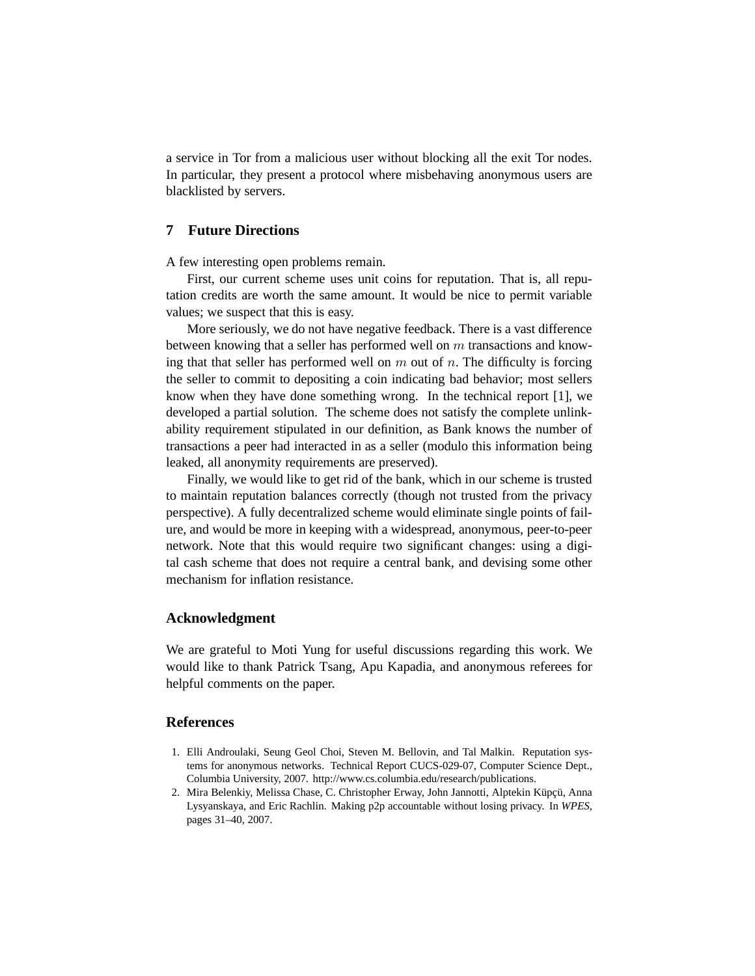a service in Tor from a malicious user without blocking all the exit Tor nodes. In particular, they present a protocol where misbehaving anonymous users are blacklisted by servers.

# **7 Future Directions**

A few interesting open problems remain.

First, our current scheme uses unit coins for reputation. That is, all reputation credits are worth the same amount. It would be nice to permit variable values; we suspect that this is easy.

More seriously, we do not have negative feedback. There is a vast difference between knowing that a seller has performed well on m transactions and knowing that that seller has performed well on  $m$  out of  $n$ . The difficulty is forcing the seller to commit to depositing a coin indicating bad behavior; most sellers know when they have done something wrong. In the technical report [1], we developed a partial solution. The scheme does not satisfy the complete unlinkability requirement stipulated in our definition, as Bank knows the number of transactions a peer had interacted in as a seller (modulo this information being leaked, all anonymity requirements are preserved).

Finally, we would like to get rid of the bank, which in our scheme is trusted to maintain reputation balances correctly (though not trusted from the privacy perspective). A fully decentralized scheme would eliminate single points of failure, and would be more in keeping with a widespread, anonymous, peer-to-peer network. Note that this would require two significant changes: using a digital cash scheme that does not require a central bank, and devising some other mechanism for inflation resistance.

# **Acknowledgment**

We are grateful to Moti Yung for useful discussions regarding this work. We would like to thank Patrick Tsang, Apu Kapadia, and anonymous referees for helpful comments on the paper.

### **References**

- 1. Elli Androulaki, Seung Geol Choi, Steven M. Bellovin, and Tal Malkin. Reputation systems for anonymous networks. Technical Report CUCS-029-07, Computer Science Dept., Columbia University, 2007. http://www.cs.columbia.edu/research/publications.
- 2. Mira Belenkiy, Melissa Chase, C. Christopher Erway, John Jannotti, Alptekin Küpçü, Anna Lysyanskaya, and Eric Rachlin. Making p2p accountable without losing privacy. In *WPES*, pages 31–40, 2007.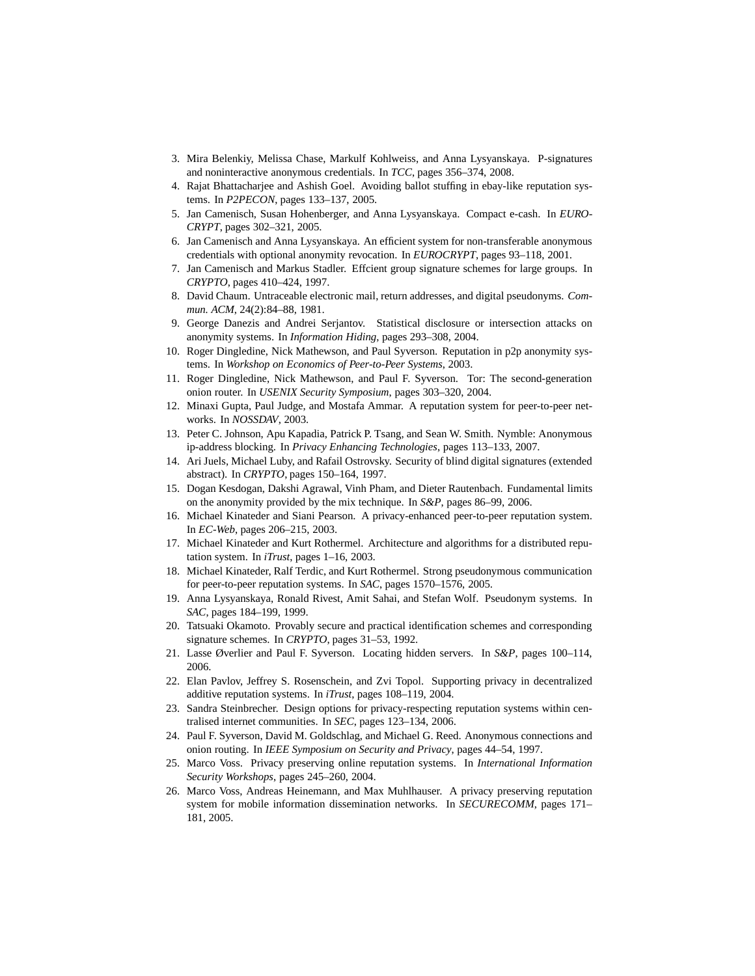- 3. Mira Belenkiy, Melissa Chase, Markulf Kohlweiss, and Anna Lysyanskaya. P-signatures and noninteractive anonymous credentials. In *TCC*, pages 356–374, 2008.
- 4. Rajat Bhattacharjee and Ashish Goel. Avoiding ballot stuffing in ebay-like reputation systems. In *P2PECON*, pages 133–137, 2005.
- 5. Jan Camenisch, Susan Hohenberger, and Anna Lysyanskaya. Compact e-cash. In *EURO-CRYPT*, pages 302–321, 2005.
- 6. Jan Camenisch and Anna Lysyanskaya. An efficient system for non-transferable anonymous credentials with optional anonymity revocation. In *EUROCRYPT*, pages 93–118, 2001.
- 7. Jan Camenisch and Markus Stadler. Effcient group signature schemes for large groups. In *CRYPTO*, pages 410–424, 1997.
- 8. David Chaum. Untraceable electronic mail, return addresses, and digital pseudonyms. *Commun. ACM*, 24(2):84–88, 1981.
- 9. George Danezis and Andrei Serjantov. Statistical disclosure or intersection attacks on anonymity systems. In *Information Hiding*, pages 293–308, 2004.
- 10. Roger Dingledine, Nick Mathewson, and Paul Syverson. Reputation in p2p anonymity systems. In *Workshop on Economics of Peer-to-Peer Systems*, 2003.
- 11. Roger Dingledine, Nick Mathewson, and Paul F. Syverson. Tor: The second-generation onion router. In *USENIX Security Symposium*, pages 303–320, 2004.
- 12. Minaxi Gupta, Paul Judge, and Mostafa Ammar. A reputation system for peer-to-peer networks. In *NOSSDAV*, 2003.
- 13. Peter C. Johnson, Apu Kapadia, Patrick P. Tsang, and Sean W. Smith. Nymble: Anonymous ip-address blocking. In *Privacy Enhancing Technologies*, pages 113–133, 2007.
- 14. Ari Juels, Michael Luby, and Rafail Ostrovsky. Security of blind digital signatures (extended abstract). In *CRYPTO*, pages 150–164, 1997.
- 15. Dogan Kesdogan, Dakshi Agrawal, Vinh Pham, and Dieter Rautenbach. Fundamental limits on the anonymity provided by the mix technique. In *S&P*, pages 86–99, 2006.
- 16. Michael Kinateder and Siani Pearson. A privacy-enhanced peer-to-peer reputation system. In *EC-Web*, pages 206–215, 2003.
- 17. Michael Kinateder and Kurt Rothermel. Architecture and algorithms for a distributed reputation system. In *iTrust*, pages 1–16, 2003.
- 18. Michael Kinateder, Ralf Terdic, and Kurt Rothermel. Strong pseudonymous communication for peer-to-peer reputation systems. In *SAC*, pages 1570–1576, 2005.
- 19. Anna Lysyanskaya, Ronald Rivest, Amit Sahai, and Stefan Wolf. Pseudonym systems. In *SAC*, pages 184–199, 1999.
- 20. Tatsuaki Okamoto. Provably secure and practical identification schemes and corresponding signature schemes. In *CRYPTO*, pages 31–53, 1992.
- 21. Lasse Øverlier and Paul F. Syverson. Locating hidden servers. In *S&P*, pages 100–114, 2006.
- 22. Elan Pavlov, Jeffrey S. Rosenschein, and Zvi Topol. Supporting privacy in decentralized additive reputation systems. In *iTrust*, pages 108–119, 2004.
- 23. Sandra Steinbrecher. Design options for privacy-respecting reputation systems within centralised internet communities. In *SEC*, pages 123–134, 2006.
- 24. Paul F. Syverson, David M. Goldschlag, and Michael G. Reed. Anonymous connections and onion routing. In *IEEE Symposium on Security and Privacy*, pages 44–54, 1997.
- 25. Marco Voss. Privacy preserving online reputation systems. In *International Information Security Workshops*, pages 245–260, 2004.
- 26. Marco Voss, Andreas Heinemann, and Max Muhlhauser. A privacy preserving reputation system for mobile information dissemination networks. In *SECURECOMM*, pages 171– 181, 2005.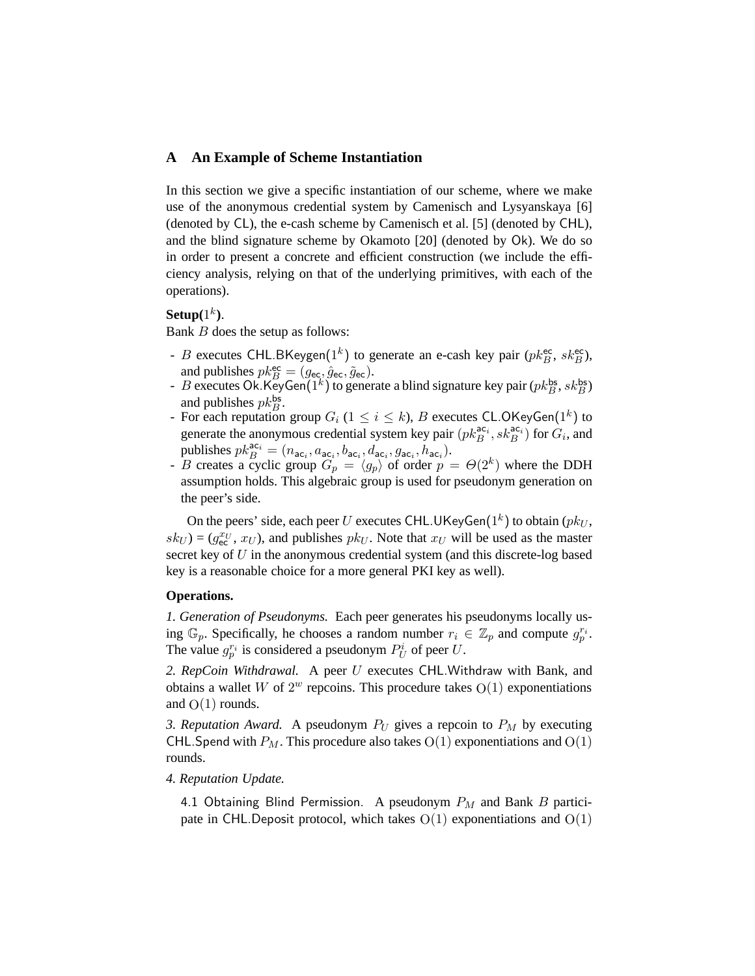# **A An Example of Scheme Instantiation**

In this section we give a specific instantiation of our scheme, where we make use of the anonymous credential system by Camenisch and Lysyanskaya [6] (denoted by CL), the e-cash scheme by Camenisch et al. [5] (denoted by CHL), and the blind signature scheme by Okamoto [20] (denoted by Ok). We do so in order to present a concrete and efficient construction (we include the efficiency analysis, relying on that of the underlying primitives, with each of the operations).

# $\textbf{Setup}(1^k)$ .

Bank  $B$  does the setup as follows:

- B executes CHL.BKeygen( $1^k$ ) to generate an e-cash key pair ( $pk_B^{\text{ec}}$ ,  $sk_B^{\text{ec}}$ ), and publishes  $p_{\mathcal{B}}^{\text{rec}} = (g_{\text{ec}}, \hat{g}_{\text{ec}}, \tilde{g}_{\text{ec}})$ .
- B executes Ok. KeyGen $(\hat{1}^k)$  to generate a blind signature key pair  $(pk_B^{bs}, sk_B^{bs})$ and publishes  $pk_B^{\mathsf{bs}}$ .
- For each reputation group  $G_i$  ( $1 \leq i \leq k$ ), B executes CL.OKeyGen( $1^k$ ) to generate the anonymous credential system key pair  $(pk_B^{ac_i}, sk_B^{ac_i})$  for  $G_i$ , and publishes  $pk_B^{\mathbf{ac}_i} = (n_{\mathbf{ac}_i}, a_{\mathbf{ac}_i}, b_{\mathbf{ac}_i}, d_{\mathbf{ac}_i}, g_{\mathbf{ac}_i}, h_{\mathbf{ac}_i}).$
- B creates a cyclic group  $G_p = \langle g_p \rangle$  of order  $p = \Theta(2^k)$  where the DDH assumption holds. This algebraic group is used for pseudonym generation on the peer's side.

On the peers' side, each peer U executes CHL.UKeyGen $(1^k)$  to obtain  $(pk_U,$  $sk_U$ ) = ( $g_{ec}^{x_U}$ ,  $x_U$ ), and publishes  $pk_U$ . Note that  $x_U$  will be used as the master secret key of  $U$  in the anonymous credential system (and this discrete-log based key is a reasonable choice for a more general PKI key as well).

# **Operations.**

*1. Generation of Pseudonyms.* Each peer generates his pseudonyms locally using  $\mathbb{G}_p$ . Specifically, he chooses a random number  $r_i \in \mathbb{Z}_p$  and compute  $g_p^{r_i}$ . The value  $g_p^{r_i}$  is considered a pseudonym  $P_U^i$  of peer U.

*2. RepCoin Withdrawal.* A peer U executes CHL.Withdraw with Bank, and obtains a wallet W of  $2^w$  repcoins. This procedure takes  $O(1)$  exponentiations and  $O(1)$  rounds.

*3. Reputation Award.* A pseudonym  $P_U$  gives a repcoin to  $P_M$  by executing CHL. Spend with  $P_M$ . This procedure also takes  $O(1)$  exponentiations and  $O(1)$ rounds.

*4. Reputation Update.*

4.1 Obtaining Blind Permission. A pseudonym  $P_M$  and Bank B participate in CHL.Deposit protocol, which takes  $O(1)$  exponentiations and  $O(1)$